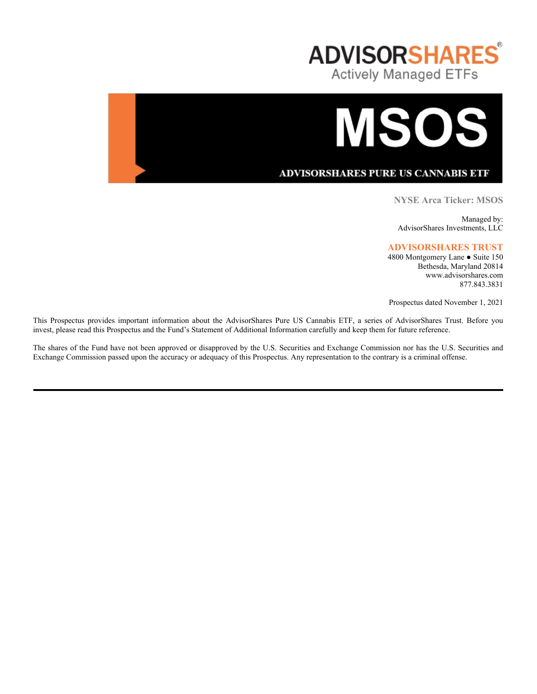



ADVISORSHARES PURE US CANNABIS ETF

**NYSE Arca Ticker: MSOS**

Managed by: AdvisorShares Investments, LLC

# **ADVISORSHARES TRUST**

4800 Montgomery Lane ● Suite 150 Bethesda, Maryland 20814 www.advisorshares.com 877.843.3831

Prospectus dated November 1, 2021

This Prospectus provides important information about the AdvisorShares Pure US Cannabis ETF, a series of AdvisorShares Trust. Before you invest, please read this Prospectus and the Fund's Statement of Additional Information carefully and keep them for future reference.

The shares of the Fund have not been approved or disapproved by the U.S. Securities and Exchange Commission nor has the U.S. Securities and Exchange Commission passed upon the accuracy or adequacy of this Prospectus. Any representation to the contrary is a criminal offense.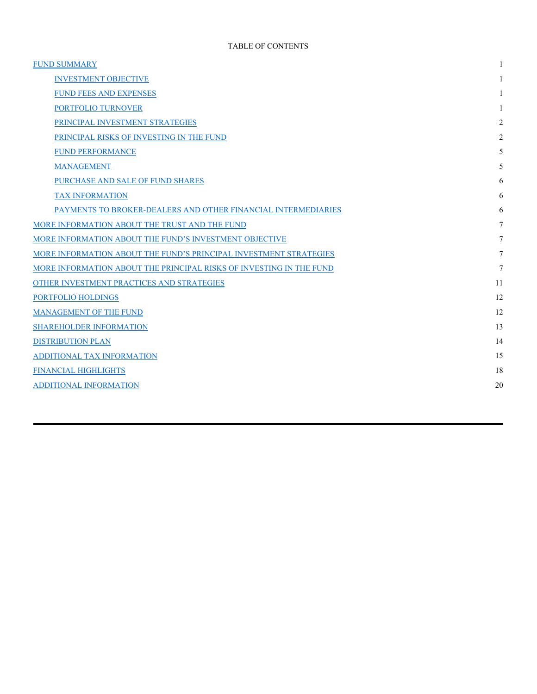| <b>FUND SUMMARY</b>                                                 |    |
|---------------------------------------------------------------------|----|
| <b>INVESTMENT OBJECTIVE</b>                                         |    |
| <b>FUND FEES AND EXPENSES</b>                                       |    |
| PORTFOLIO TURNOVER                                                  |    |
| PRINCIPAL INVESTMENT STRATEGIES                                     | 2  |
| PRINCIPAL RISKS OF INVESTING IN THE FUND                            | 2  |
| <b>FUND PERFORMANCE</b>                                             | 5  |
| <b>MANAGEMENT</b>                                                   | 5  |
| PURCHASE AND SALE OF FUND SHARES                                    | 6  |
| <b>TAX INFORMATION</b>                                              | 6  |
| PAYMENTS TO BROKER-DEALERS AND OTHER FINANCIAL INTERMEDIARIES       | 6  |
| MORE INFORMATION ABOUT THE TRUST AND THE FUND                       | 7  |
| MORE INFORMATION ABOUT THE FUND'S INVESTMENT OBJECTIVE              | 7  |
| MORE INFORMATION ABOUT THE FUND'S PRINCIPAL INVESTMENT STRATEGIES   | 7  |
| MORE INFORMATION ABOUT THE PRINCIPAL RISKS OF INVESTING IN THE FUND | 7  |
| OTHER INVESTMENT PRACTICES AND STRATEGIES                           | 11 |
| PORTFOLIO HOLDINGS                                                  | 12 |
| MANAGEMENT OF THE FUND                                              | 12 |
| <b>SHAREHOLDER INFORMATION</b>                                      | 13 |
| <b>DISTRIBUTION PLAN</b>                                            | 14 |
| ADDITIONAL TAX INFORMATION                                          | 15 |
| <b>FINANCIAL HIGHLIGHTS</b>                                         | 18 |
| ADDITIONAL INFORMATION                                              | 20 |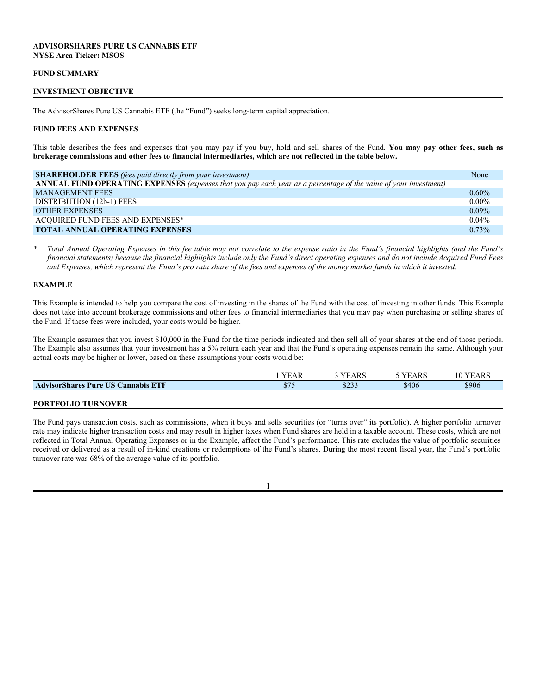# **ADVISORSHARES PURE US CANNABIS ETF NYSE Arca Ticker: MSOS**

#### **FUND SUMMARY**

### **INVESTMENT OBJECTIVE**

The AdvisorShares Pure US Cannabis ETF (the "Fund") seeks long-term capital appreciation.

#### **FUND FEES AND EXPENSES**

This table describes the fees and expenses that you may pay if you buy, hold and sell shares of the Fund. **You may pay other fees, such as brokerage commissions and other fees to financial intermediaries, which are not reflected in the table below.**

| <b>SHAREHOLDER FEES</b> (fees paid directly from your investment)                                                | None     |
|------------------------------------------------------------------------------------------------------------------|----------|
| ANNUAL FUND OPERATING EXPENSES (expenses that you pay each year as a percentage of the value of your investment) |          |
| <b>MANAGEMENT FEES</b>                                                                                           | $0.60\%$ |
| DISTRIBUTION (12b-1) FEES                                                                                        | $0.00\%$ |
| <b>OTHER EXPENSES</b>                                                                                            | $0.09\%$ |
| ACQUIRED FUND FEES AND EXPENSES*                                                                                 | $0.04\%$ |
| <b>TOTAL ANNUAL OPERATING EXPENSES</b>                                                                           | 0.73%    |

*\* Total Annual Operating Expenses in this fee table may not correlate to the expense ratio in the Fund's financial highlights (and the Fund's financial statements) because the financial highlights include only the Fund's direct operating expenses and do not include Acquired Fund Fees and Expenses, which represent the Fund's pro rata share of the fees and expenses of the money market funds in which it invested.*

# **EXAMPLE**

This Example is intended to help you compare the cost of investing in the shares of the Fund with the cost of investing in other funds. This Example does not take into account brokerage commissions and other fees to financial intermediaries that you may pay when purchasing or selling shares of the Fund. If these fees were included, your costs would be higher.

The Example assumes that you invest \$10,000 in the Fund for the time periods indicated and then sell all of your shares at the end of those periods. The Example also assumes that your investment has a 5% return each year and that the Fund's operating expenses remain the same. Although your actual costs may be higher or lower, based on these assumptions your costs would be:

|                                           | <b>YEAR</b> | 3 YEARS | 5 YEARS | 10 YEARS |
|-------------------------------------------|-------------|---------|---------|----------|
| <b>AdvisorShares Pure US Cannabis ETF</b> | \$75        | \$233   | \$406   | \$906    |
|                                           |             |         |         |          |
| <b>PORTFOLIO TURNOVER</b>                 |             |         |         |          |

The Fund pays transaction costs, such as commissions, when it buys and sells securities (or "turns over" its portfolio). A higher portfolio turnover rate may indicate higher transaction costs and may result in higher taxes when Fund shares are held in a taxable account. These costs, which are not reflected in Total Annual Operating Expenses or in the Example, affect the Fund's performance. This rate excludes the value of portfolio securities received or delivered as a result of in-kind creations or redemptions of the Fund's shares. During the most recent fiscal year, the Fund's portfolio turnover rate was 68% of the average value of its portfolio.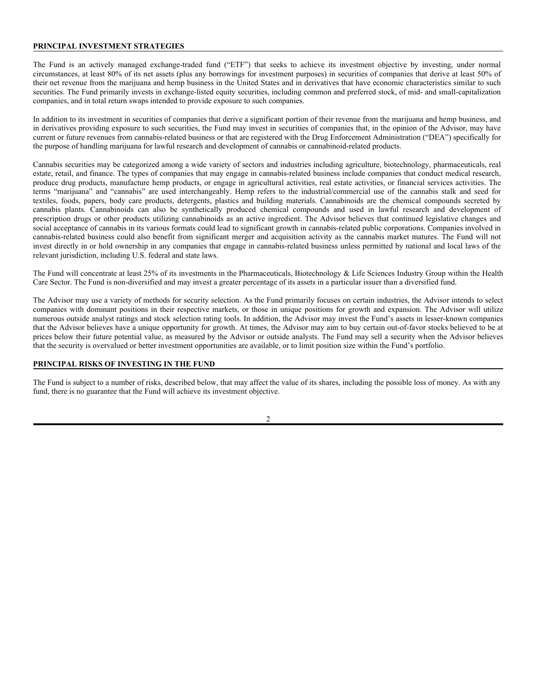# **PRINCIPAL INVESTMENT STRATEGIES**

The Fund is an actively managed exchange-traded fund ("ETF") that seeks to achieve its investment objective by investing, under normal circumstances, at least 80% of its net assets (plus any borrowings for investment purposes) in securities of companies that derive at least 50% of their net revenue from the marijuana and hemp business in the United States and in derivatives that have economic characteristics similar to such securities. The Fund primarily invests in exchange-listed equity securities, including common and preferred stock, of mid- and small-capitalization companies, and in total return swaps intended to provide exposure to such companies.

In addition to its investment in securities of companies that derive a significant portion of their revenue from the marijuana and hemp business, and in derivatives providing exposure to such securities, the Fund may invest in securities of companies that, in the opinion of the Advisor, may have current or future revenues from cannabis-related business or that are registered with the Drug Enforcement Administration ("DEA") specifically for the purpose of handling marijuana for lawful research and development of cannabis or cannabinoid-related products.

Cannabis securities may be categorized among a wide variety of sectors and industries including agriculture, biotechnology, pharmaceuticals, real estate, retail, and finance. The types of companies that may engage in cannabis-related business include companies that conduct medical research, produce drug products, manufacture hemp products, or engage in agricultural activities, real estate activities, or financial services activities. The terms "marijuana" and "cannabis" are used interchangeably. Hemp refers to the industrial/commercial use of the cannabis stalk and seed for textiles, foods, papers, body care products, detergents, plastics and building materials. Cannabinoids are the chemical compounds secreted by cannabis plants. Cannabinoids can also be synthetically produced chemical compounds and used in lawful research and development of prescription drugs or other products utilizing cannabinoids as an active ingredient. The Advisor believes that continued legislative changes and social acceptance of cannabis in its various formats could lead to significant growth in cannabis-related public corporations. Companies involved in cannabis-related business could also benefit from significant merger and acquisition activity as the cannabis market matures. The Fund will not invest directly in or hold ownership in any companies that engage in cannabis-related business unless permitted by national and local laws of the relevant jurisdiction, including U.S. federal and state laws.

The Fund will concentrate at least 25% of its investments in the Pharmaceuticals, Biotechnology & Life Sciences Industry Group within the Health Care Sector. The Fund is non-diversified and may invest a greater percentage of its assets in a particular issuer than a diversified fund.

The Advisor may use a variety of methods for security selection. As the Fund primarily focuses on certain industries, the Advisor intends to select companies with dominant positions in their respective markets, or those in unique positions for growth and expansion. The Advisor will utilize numerous outside analyst ratings and stock selection rating tools. In addition, the Advisor may invest the Fund's assets in lesser-known companies that the Advisor believes have a unique opportunity for growth. At times, the Advisor may aim to buy certain out-of-favor stocks believed to be at prices below their future potential value, as measured by the Advisor or outside analysts. The Fund may sell a security when the Advisor believes that the security is overvalued or better investment opportunities are available, or to limit position size within the Fund's portfolio.

### **PRINCIPAL RISKS OF INVESTING IN THE FUND**

The Fund is subject to a number of risks, described below, that may affect the value of its shares, including the possible loss of money. As with any fund, there is no guarantee that the Fund will achieve its investment objective.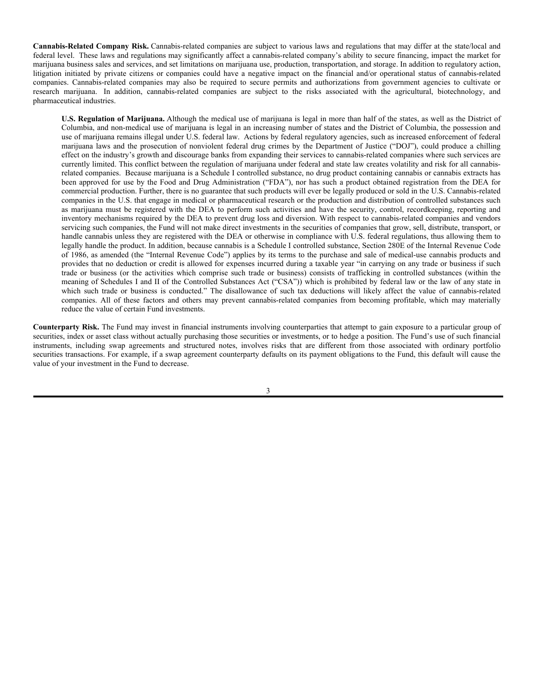**Cannabis-Related Company Risk.** Cannabis-related companies are subject to various laws and regulations that may differ at the state/local and federal level. These laws and regulations may significantly affect a cannabis-related company's ability to secure financing, impact the market for marijuana business sales and services, and set limitations on marijuana use, production, transportation, and storage. In addition to regulatory action, litigation initiated by private citizens or companies could have a negative impact on the financial and/or operational status of cannabis-related companies. Cannabis-related companies may also be required to secure permits and authorizations from government agencies to cultivate or research marijuana. In addition, cannabis-related companies are subject to the risks associated with the agricultural, biotechnology, and pharmaceutical industries.

**U.S. Regulation of Marijuana.** Although the medical use of marijuana is legal in more than half of the states, as well as the District of Columbia, and non-medical use of marijuana is legal in an increasing number of states and the District of Columbia, the possession and use of marijuana remains illegal under U.S. federal law. Actions by federal regulatory agencies, such as increased enforcement of federal marijuana laws and the prosecution of nonviolent federal drug crimes by the Department of Justice ("DOJ"), could produce a chilling effect on the industry's growth and discourage banks from expanding their services to cannabis-related companies where such services are currently limited. This conflict between the regulation of marijuana under federal and state law creates volatility and risk for all cannabisrelated companies. Because marijuana is a Schedule I controlled substance, no drug product containing cannabis or cannabis extracts has been approved for use by the Food and Drug Administration ("FDA"), nor has such a product obtained registration from the DEA for commercial production. Further, there is no guarantee that such products will ever be legally produced or sold in the U.S. Cannabis-related companies in the U.S. that engage in medical or pharmaceutical research or the production and distribution of controlled substances such as marijuana must be registered with the DEA to perform such activities and have the security, control, recordkeeping, reporting and inventory mechanisms required by the DEA to prevent drug loss and diversion. With respect to cannabis-related companies and vendors servicing such companies, the Fund will not make direct investments in the securities of companies that grow, sell, distribute, transport, or handle cannabis unless they are registered with the DEA or otherwise in compliance with U.S. federal regulations, thus allowing them to legally handle the product. In addition, because cannabis is a Schedule I controlled substance, Section 280E of the Internal Revenue Code of 1986, as amended (the "Internal Revenue Code") applies by its terms to the purchase and sale of medical-use cannabis products and provides that no deduction or credit is allowed for expenses incurred during a taxable year "in carrying on any trade or business if such trade or business (or the activities which comprise such trade or business) consists of trafficking in controlled substances (within the meaning of Schedules I and II of the Controlled Substances Act ("CSA")) which is prohibited by federal law or the law of any state in which such trade or business is conducted." The disallowance of such tax deductions will likely affect the value of cannabis-related companies. All of these factors and others may prevent cannabis-related companies from becoming profitable, which may materially reduce the value of certain Fund investments.

**Counterparty Risk.** The Fund may invest in financial instruments involving counterparties that attempt to gain exposure to a particular group of securities, index or asset class without actually purchasing those securities or investments, or to hedge a position. The Fund's use of such financial instruments, including swap agreements and structured notes, involves risks that are different from those associated with ordinary portfolio securities transactions. For example, if a swap agreement counterparty defaults on its payment obligations to the Fund, this default will cause the value of your investment in the Fund to decrease.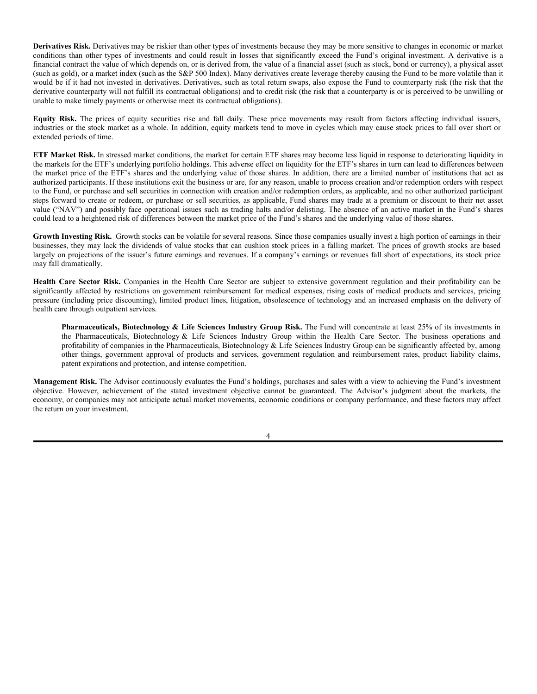**Derivatives Risk.** Derivatives may be riskier than other types of investments because they may be more sensitive to changes in economic or market conditions than other types of investments and could result in losses that significantly exceed the Fund's original investment. A derivative is a financial contract the value of which depends on, or is derived from, the value of a financial asset (such as stock, bond or currency), a physical asset (such as gold), or a market index (such as the S&P 500 Index). Many derivatives create leverage thereby causing the Fund to be more volatile than it would be if it had not invested in derivatives. Derivatives, such as total return swaps, also expose the Fund to counterparty risk (the risk that the derivative counterparty will not fulfill its contractual obligations) and to credit risk (the risk that a counterparty is or is perceived to be unwilling or unable to make timely payments or otherwise meet its contractual obligations).

**Equity Risk.** The prices of equity securities rise and fall daily. These price movements may result from factors affecting individual issuers, industries or the stock market as a whole. In addition, equity markets tend to move in cycles which may cause stock prices to fall over short or extended periods of time.

**ETF Market Risk.** In stressed market conditions, the market for certain ETF shares may become less liquid in response to deteriorating liquidity in the markets for the ETF's underlying portfolio holdings. This adverse effect on liquidity for the ETF's shares in turn can lead to differences between the market price of the ETF's shares and the underlying value of those shares. In addition, there are a limited number of institutions that act as authorized participants. If these institutions exit the business or are, for any reason, unable to process creation and/or redemption orders with respect to the Fund, or purchase and sell securities in connection with creation and/or redemption orders, as applicable, and no other authorized participant steps forward to create or redeem, or purchase or sell securities, as applicable, Fund shares may trade at a premium or discount to their net asset value ("NAV") and possibly face operational issues such as trading halts and/or delisting. The absence of an active market in the Fund's shares could lead to a heightened risk of differences between the market price of the Fund's shares and the underlying value of those shares.

Growth Investing Risk. Growth stocks can be volatile for several reasons. Since those companies usually invest a high portion of earnings in their businesses, they may lack the dividends of value stocks that can cushion stock prices in a falling market. The prices of growth stocks are based largely on projections of the issuer's future earnings and revenues. If a company's earnings or revenues fall short of expectations, its stock price may fall dramatically.

**Health Care Sector Risk.** Companies in the Health Care Sector are subject to extensive government regulation and their profitability can be significantly affected by restrictions on government reimbursement for medical expenses, rising costs of medical products and services, pricing pressure (including price discounting), limited product lines, litigation, obsolescence of technology and an increased emphasis on the delivery of health care through outpatient services.

**Pharmaceuticals, Biotechnology & Life Sciences Industry Group Risk.** The Fund will concentrate at least 25% of its investments in the Pharmaceuticals, Biotechnology & Life Sciences Industry Group within the Health Care Sector. The business operations and profitability of companies in the Pharmaceuticals, Biotechnology & Life Sciences Industry Group can be significantly affected by, among other things, government approval of products and services, government regulation and reimbursement rates, product liability claims, patent expirations and protection, and intense competition.

**Management Risk.** The Advisor continuously evaluates the Fund's holdings, purchases and sales with a view to achieving the Fund's investment objective. However, achievement of the stated investment objective cannot be guaranteed. The Advisor's judgment about the markets, the economy, or companies may not anticipate actual market movements, economic conditions or company performance, and these factors may affect the return on your investment.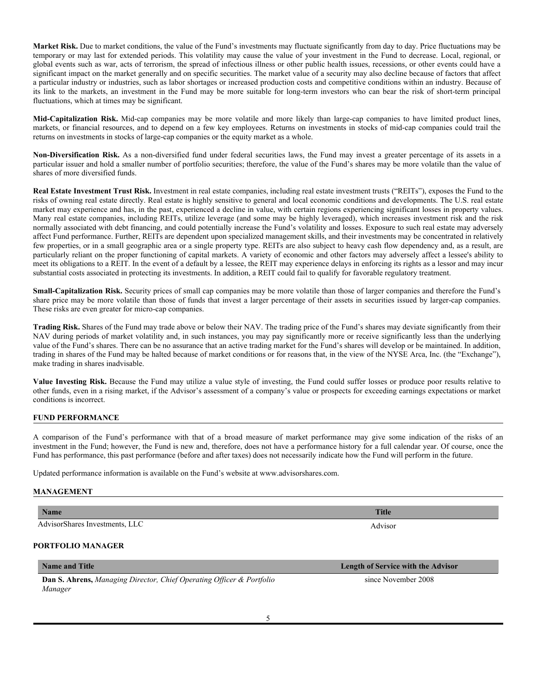**Market Risk.** Due to market conditions, the value of the Fund's investments may fluctuate significantly from day to day. Price fluctuations may be temporary or may last for extended periods. This volatility may cause the value of your investment in the Fund to decrease. Local, regional, or global events such as war, acts of terrorism, the spread of infectious illness or other public health issues, recessions, or other events could have a significant impact on the market generally and on specific securities. The market value of a security may also decline because of factors that affect a particular industry or industries, such as labor shortages or increased production costs and competitive conditions within an industry. Because of its link to the markets, an investment in the Fund may be more suitable for long-term investors who can bear the risk of short-term principal fluctuations, which at times may be significant.

**Mid-Capitalization Risk.** Mid-cap companies may be more volatile and more likely than large-cap companies to have limited product lines, markets, or financial resources, and to depend on a few key employees. Returns on investments in stocks of mid-cap companies could trail the returns on investments in stocks of large-cap companies or the equity market as a whole.

**Non-Diversification Risk.** As a non-diversified fund under federal securities laws, the Fund may invest a greater percentage of its assets in a particular issuer and hold a smaller number of portfolio securities; therefore, the value of the Fund's shares may be more volatile than the value of shares of more diversified funds.

**Real Estate Investment Trust Risk.** Investment in real estate companies, including real estate investment trusts ("REITs"), exposes the Fund to the risks of owning real estate directly. Real estate is highly sensitive to general and local economic conditions and developments. The U.S. real estate market may experience and has, in the past, experienced a decline in value, with certain regions experiencing significant losses in property values. Many real estate companies, including REITs, utilize leverage (and some may be highly leveraged), which increases investment risk and the risk normally associated with debt financing, and could potentially increase the Fund's volatility and losses. Exposure to such real estate may adversely affect Fund performance. Further, REITs are dependent upon specialized management skills, and their investments may be concentrated in relatively few properties, or in a small geographic area or a single property type. REITs are also subject to heavy cash flow dependency and, as a result, are particularly reliant on the proper functioning of capital markets. A variety of economic and other factors may adversely affect a lessee's ability to meet its obligations to a REIT. In the event of a default by a lessee, the REIT may experience delays in enforcing its rights as a lessor and may incur substantial costs associated in protecting its investments. In addition, a REIT could fail to qualify for favorable regulatory treatment.

**Small-Capitalization Risk.** Security prices of small cap companies may be more volatile than those of larger companies and therefore the Fund's share price may be more volatile than those of funds that invest a larger percentage of their assets in securities issued by larger-cap companies. These risks are even greater for micro-cap companies.

**Trading Risk.** Shares of the Fund may trade above or below their NAV. The trading price of the Fund's shares may deviate significantly from their NAV during periods of market volatility and, in such instances, you may pay significantly more or receive significantly less than the underlying value of the Fund's shares. There can be no assurance that an active trading market for the Fund's shares will develop or be maintained. In addition, trading in shares of the Fund may be halted because of market conditions or for reasons that, in the view of the NYSE Arca, Inc. (the "Exchange"), make trading in shares inadvisable.

**Value Investing Risk.** Because the Fund may utilize a value style of investing, the Fund could suffer losses or produce poor results relative to other funds, even in a rising market, if the Advisor's assessment of a company's value or prospects for exceeding earnings expectations or market conditions is incorrect.

# **FUND PERFORMANCE**

A comparison of the Fund's performance with that of a broad measure of market performance may give some indication of the risks of an investment in the Fund; however, the Fund is new and, therefore, does not have a performance history for a full calendar year. Of course, once the Fund has performance, this past performance (before and after taxes) does not necessarily indicate how the Fund will perform in the future.

Updated performance information is available on the Fund's website at www.advisorshares.com.

### **MANAGEMENT**

| <b>Name</b>                    | <b>Title</b> |
|--------------------------------|--------------|
| AdvisorShares Investments, LLC | Advisor      |

# **PORTFOLIO MANAGER**

|         | <b>Dan S. Ahrens, Managing Director, Chief Operating Officer &amp; Portfolio</b> |  |
|---------|----------------------------------------------------------------------------------|--|
| Manager |                                                                                  |  |

**Name and Title Length of Service with the Advisor** 

since November 2008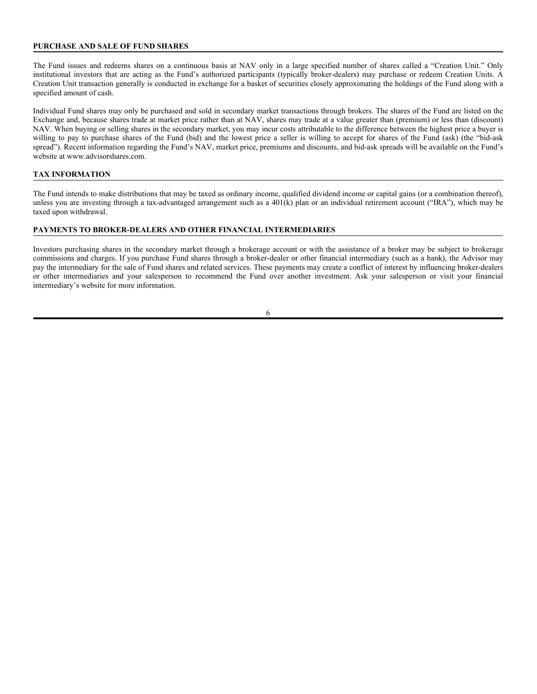## **PURCHASE AND SALE OF FUND SHARES**

The Fund issues and redeems shares on a continuous basis at NAV only in a large specified number of shares called a "Creation Unit." Only institutional investors that are acting as the Fund's authorized participants (typically broker-dealers) may purchase or redeem Creation Units. A Creation Unit transaction generally is conducted in exchange for a basket of securities closely approximating the holdings of the Fund along with a specified amount of cash.

Individual Fund shares may only be purchased and sold in secondary market transactions through brokers. The shares of the Fund are listed on the Exchange and, because shares trade at market price rather than at NAV, shares may trade at a value greater than (premium) or less than (discount) NAV. When buying or selling shares in the secondary market, you may incur costs attributable to the difference between the highest price a buyer is willing to pay to purchase shares of the Fund (bid) and the lowest price a seller is willing to accept for shares of the Fund (ask) (the "bid-ask spread"). Recent information regarding the Fund's NAV, market price, premiums and discounts, and bid-ask spreads will be available on the Fund's website at www.advisorshares.com.

# **TAX INFORMATION**

The Fund intends to make distributions that may be taxed as ordinary income, qualified dividend income or capital gains (or a combination thereof), unless you are investing through a tax-advantaged arrangement such as a 401(k) plan or an individual retirement account ("IRA"), which may be taxed upon withdrawal.

# **PAYMENTS TO BROKER-DEALERS AND OTHER FINANCIAL INTERMEDIARIES**

Investors purchasing shares in the secondary market through a brokerage account or with the assistance of a broker may be subject to brokerage commissions and charges. If you purchase Fund shares through a broker-dealer or other financial intermediary (such as a bank), the Advisor may pay the intermediary for the sale of Fund shares and related services. These payments may create a conflict of interest by influencing broker-dealers or other intermediaries and your salesperson to recommend the Fund over another investment. Ask your salesperson or visit your financial intermediary's website for more information.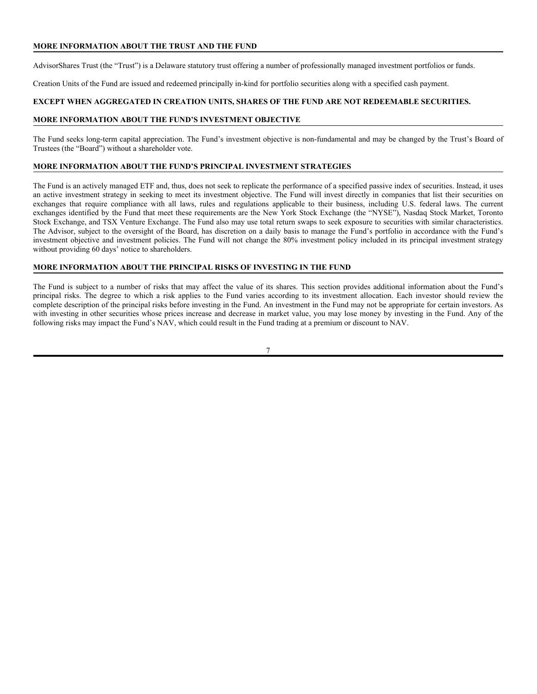# **MORE INFORMATION ABOUT THE TRUST AND THE FUND**

AdvisorShares Trust (the "Trust") is a Delaware statutory trust offering a number of professionally managed investment portfolios or funds.

Creation Units of the Fund are issued and redeemed principally in-kind for portfolio securities along with a specified cash payment.

### **EXCEPT WHEN AGGREGATED IN CREATION UNITS, SHARES OF THE FUND ARE NOT REDEEMABLE SECURITIES.**

#### **MORE INFORMATION ABOUT THE FUND'S INVESTMENT OBJECTIVE**

The Fund seeks long-term capital appreciation. The Fund's investment objective is non-fundamental and may be changed by the Trust's Board of Trustees (the "Board") without a shareholder vote.

### **MORE INFORMATION ABOUT THE FUND'S PRINCIPAL INVESTMENT STRATEGIES**

The Fund is an actively managed ETF and, thus, does not seek to replicate the performance of a specified passive index of securities. Instead, it uses an active investment strategy in seeking to meet its investment objective. The Fund will invest directly in companies that list their securities on exchanges that require compliance with all laws, rules and regulations applicable to their business, including U.S. federal laws. The current exchanges identified by the Fund that meet these requirements are the New York Stock Exchange (the "NYSE"), Nasdaq Stock Market, Toronto Stock Exchange, and TSX Venture Exchange. The Fund also may use total return swaps to seek exposure to securities with similar characteristics. The Advisor, subject to the oversight of the Board, has discretion on a daily basis to manage the Fund's portfolio in accordance with the Fund's investment objective and investment policies. The Fund will not change the 80% investment policy included in its principal investment strategy without providing 60 days' notice to shareholders.

### **MORE INFORMATION ABOUT THE PRINCIPAL RISKS OF INVESTING IN THE FUND**

The Fund is subject to a number of risks that may affect the value of its shares. This section provides additional information about the Fund's principal risks. The degree to which a risk applies to the Fund varies according to its investment allocation. Each investor should review the complete description of the principal risks before investing in the Fund. An investment in the Fund may not be appropriate for certain investors. As with investing in other securities whose prices increase and decrease in market value, you may lose money by investing in the Fund. Any of the following risks may impact the Fund's NAV, which could result in the Fund trading at a premium or discount to NAV.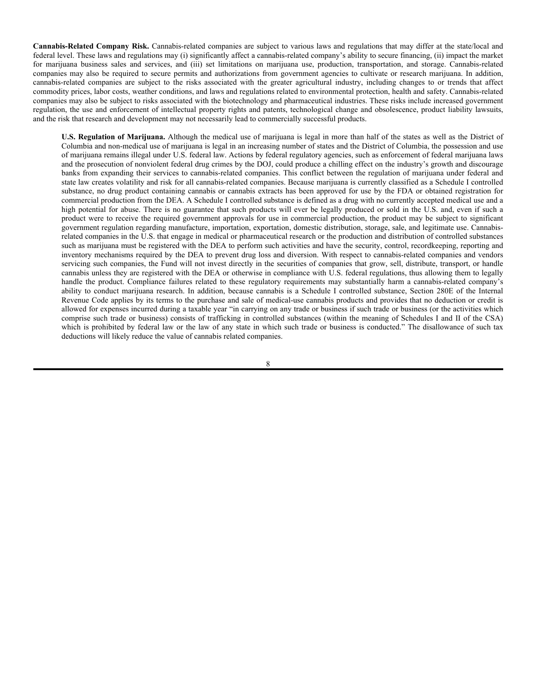**Cannabis-Related Company Risk.** Cannabis-related companies are subject to various laws and regulations that may differ at the state/local and federal level. These laws and regulations may (i) significantly affect a cannabis-related company's ability to secure financing, (ii) impact the market for marijuana business sales and services, and (iii) set limitations on marijuana use, production, transportation, and storage. Cannabis-related companies may also be required to secure permits and authorizations from government agencies to cultivate or research marijuana. In addition, cannabis-related companies are subject to the risks associated with the greater agricultural industry, including changes to or trends that affect commodity prices, labor costs, weather conditions, and laws and regulations related to environmental protection, health and safety. Cannabis-related companies may also be subject to risks associated with the biotechnology and pharmaceutical industries. These risks include increased government regulation, the use and enforcement of intellectual property rights and patents, technological change and obsolescence, product liability lawsuits, and the risk that research and development may not necessarily lead to commercially successful products.

**U.S. Regulation of Marijuana.** Although the medical use of marijuana is legal in more than half of the states as well as the District of Columbia and non-medical use of marijuana is legal in an increasing number of states and the District of Columbia, the possession and use of marijuana remains illegal under U.S. federal law. Actions by federal regulatory agencies, such as enforcement of federal marijuana laws and the prosecution of nonviolent federal drug crimes by the DOJ, could produce a chilling effect on the industry's growth and discourage banks from expanding their services to cannabis-related companies. This conflict between the regulation of marijuana under federal and state law creates volatility and risk for all cannabis-related companies. Because marijuana is currently classified as a Schedule I controlled substance, no drug product containing cannabis or cannabis extracts has been approved for use by the FDA or obtained registration for commercial production from the DEA. A Schedule I controlled substance is defined as a drug with no currently accepted medical use and a high potential for abuse. There is no guarantee that such products will ever be legally produced or sold in the U.S. and, even if such a product were to receive the required government approvals for use in commercial production, the product may be subject to significant government regulation regarding manufacture, importation, exportation, domestic distribution, storage, sale, and legitimate use. Cannabisrelated companies in the U.S. that engage in medical or pharmaceutical research or the production and distribution of controlled substances such as marijuana must be registered with the DEA to perform such activities and have the security, control, recordkeeping, reporting and inventory mechanisms required by the DEA to prevent drug loss and diversion. With respect to cannabis-related companies and vendors servicing such companies, the Fund will not invest directly in the securities of companies that grow, sell, distribute, transport, or handle cannabis unless they are registered with the DEA or otherwise in compliance with U.S. federal regulations, thus allowing them to legally handle the product. Compliance failures related to these regulatory requirements may substantially harm a cannabis-related company's ability to conduct marijuana research. In addition, because cannabis is a Schedule I controlled substance, Section 280E of the Internal Revenue Code applies by its terms to the purchase and sale of medical-use cannabis products and provides that no deduction or credit is allowed for expenses incurred during a taxable year "in carrying on any trade or business if such trade or business (or the activities which comprise such trade or business) consists of trafficking in controlled substances (within the meaning of Schedules I and II of the CSA) which is prohibited by federal law or the law of any state in which such trade or business is conducted." The disallowance of such tax deductions will likely reduce the value of cannabis related companies.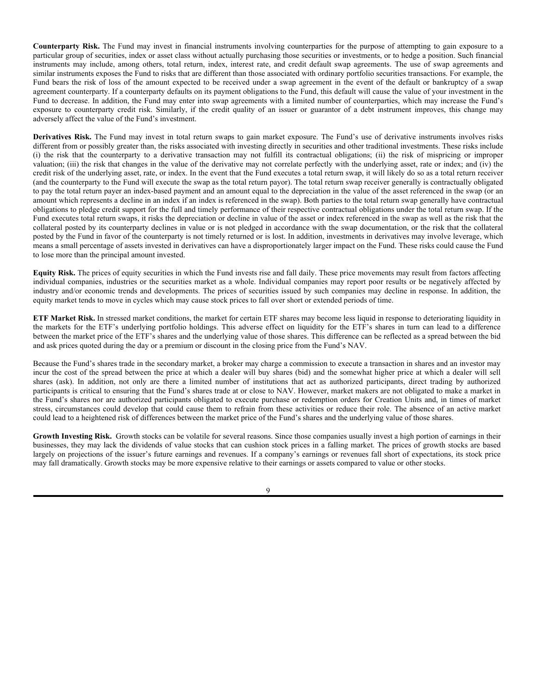**Counterparty Risk.** The Fund may invest in financial instruments involving counterparties for the purpose of attempting to gain exposure to a particular group of securities, index or asset class without actually purchasing those securities or investments, or to hedge a position. Such financial instruments may include, among others, total return, index, interest rate, and credit default swap agreements. The use of swap agreements and similar instruments exposes the Fund to risks that are different than those associated with ordinary portfolio securities transactions. For example, the Fund bears the risk of loss of the amount expected to be received under a swap agreement in the event of the default or bankruptcy of a swap agreement counterparty. If a counterparty defaults on its payment obligations to the Fund, this default will cause the value of your investment in the Fund to decrease. In addition, the Fund may enter into swap agreements with a limited number of counterparties, which may increase the Fund's exposure to counterparty credit risk. Similarly, if the credit quality of an issuer or guarantor of a debt instrument improves, this change may adversely affect the value of the Fund's investment.

**Derivatives Risk.** The Fund may invest in total return swaps to gain market exposure. The Fund's use of derivative instruments involves risks different from or possibly greater than, the risks associated with investing directly in securities and other traditional investments. These risks include (i) the risk that the counterparty to a derivative transaction may not fulfill its contractual obligations; (ii) the risk of mispricing or improper valuation; (iii) the risk that changes in the value of the derivative may not correlate perfectly with the underlying asset, rate or index; and (iv) the credit risk of the underlying asset, rate, or index. In the event that the Fund executes a total return swap, it will likely do so as a total return receiver (and the counterparty to the Fund will execute the swap as the total return payor). The total return swap receiver generally is contractually obligated to pay the total return payer an index-based payment and an amount equal to the depreciation in the value of the asset referenced in the swap (or an amount which represents a decline in an index if an index is referenced in the swap). Both parties to the total return swap generally have contractual obligations to pledge credit support for the full and timely performance of their respective contractual obligations under the total return swap. If the Fund executes total return swaps, it risks the depreciation or decline in value of the asset or index referenced in the swap as well as the risk that the collateral posted by its counterparty declines in value or is not pledged in accordance with the swap documentation, or the risk that the collateral posted by the Fund in favor of the counterparty is not timely returned or is lost. In addition, investments in derivatives may involve leverage, which means a small percentage of assets invested in derivatives can have a disproportionately larger impact on the Fund. These risks could cause the Fund to lose more than the principal amount invested.

**Equity Risk.** The prices of equity securities in which the Fund invests rise and fall daily. These price movements may result from factors affecting individual companies, industries or the securities market as a whole. Individual companies may report poor results or be negatively affected by industry and/or economic trends and developments. The prices of securities issued by such companies may decline in response. In addition, the equity market tends to move in cycles which may cause stock prices to fall over short or extended periods of time.

**ETF Market Risk.** In stressed market conditions, the market for certain ETF shares may become less liquid in response to deteriorating liquidity in the markets for the ETF's underlying portfolio holdings. This adverse effect on liquidity for the ETF's shares in turn can lead to a difference between the market price of the ETF's shares and the underlying value of those shares. This difference can be reflected as a spread between the bid and ask prices quoted during the day or a premium or discount in the closing price from the Fund's NAV.

Because the Fund's shares trade in the secondary market, a broker may charge a commission to execute a transaction in shares and an investor may incur the cost of the spread between the price at which a dealer will buy shares (bid) and the somewhat higher price at which a dealer will sell shares (ask). In addition, not only are there a limited number of institutions that act as authorized participants, direct trading by authorized participants is critical to ensuring that the Fund's shares trade at or close to NAV. However, market makers are not obligated to make a market in the Fund's shares nor are authorized participants obligated to execute purchase or redemption orders for Creation Units and, in times of market stress, circumstances could develop that could cause them to refrain from these activities or reduce their role. The absence of an active market could lead to a heightened risk of differences between the market price of the Fund's shares and the underlying value of those shares.

Growth Investing Risk. Growth stocks can be volatile for several reasons. Since those companies usually invest a high portion of earnings in their businesses, they may lack the dividends of value stocks that can cushion stock prices in a falling market. The prices of growth stocks are based largely on projections of the issuer's future earnings and revenues. If a company's earnings or revenues fall short of expectations, its stock price may fall dramatically. Growth stocks may be more expensive relative to their earnings or assets compared to value or other stocks.

 $\overline{Q}$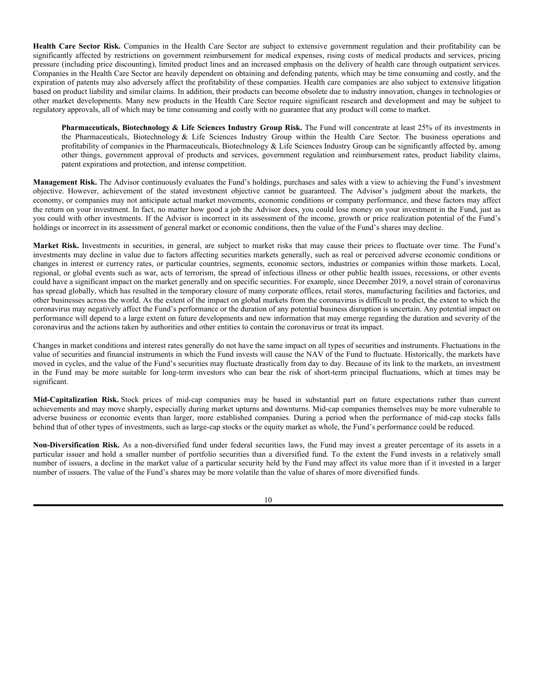**Health Care Sector Risk.** Companies in the Health Care Sector are subject to extensive government regulation and their profitability can be significantly affected by restrictions on government reimbursement for medical expenses, rising costs of medical products and services, pricing pressure (including price discounting), limited product lines and an increased emphasis on the delivery of health care through outpatient services. Companies in the Health Care Sector are heavily dependent on obtaining and defending patents, which may be time consuming and costly, and the expiration of patents may also adversely affect the profitability of these companies. Health care companies are also subject to extensive litigation based on product liability and similar claims. In addition, their products can become obsolete due to industry innovation, changes in technologies or other market developments. Many new products in the Health Care Sector require significant research and development and may be subject to regulatory approvals, all of which may be time consuming and costly with no guarantee that any product will come to market.

**Pharmaceuticals, Biotechnology & Life Sciences Industry Group Risk.** The Fund will concentrate at least 25% of its investments in the Pharmaceuticals, Biotechnology & Life Sciences Industry Group within the Health Care Sector. The business operations and profitability of companies in the Pharmaceuticals, Biotechnology & Life Sciences Industry Group can be significantly affected by, among other things, government approval of products and services, government regulation and reimbursement rates, product liability claims, patent expirations and protection, and intense competition.

**Management Risk.** The Advisor continuously evaluates the Fund's holdings, purchases and sales with a view to achieving the Fund's investment objective. However, achievement of the stated investment objective cannot be guaranteed. The Advisor's judgment about the markets, the economy, or companies may not anticipate actual market movements, economic conditions or company performance, and these factors may affect the return on your investment. In fact, no matter how good a job the Advisor does, you could lose money on your investment in the Fund, just as you could with other investments. If the Advisor is incorrect in its assessment of the income, growth or price realization potential of the Fund's holdings or incorrect in its assessment of general market or economic conditions, then the value of the Fund's shares may decline.

**Market Risk.** Investments in securities, in general, are subject to market risks that may cause their prices to fluctuate over time. The Fund's investments may decline in value due to factors affecting securities markets generally, such as real or perceived adverse economic conditions or changes in interest or currency rates, or particular countries, segments, economic sectors, industries or companies within those markets. Local, regional, or global events such as war, acts of terrorism, the spread of infectious illness or other public health issues, recessions, or other events could have a significant impact on the market generally and on specific securities. For example, since December 2019, a novel strain of coronavirus has spread globally, which has resulted in the temporary closure of many corporate offices, retail stores, manufacturing facilities and factories, and other businesses across the world. As the extent of the impact on global markets from the coronavirus is difficult to predict, the extent to which the coronavirus may negatively affect the Fund's performance or the duration of any potential business disruption is uncertain. Any potential impact on performance will depend to a large extent on future developments and new information that may emerge regarding the duration and severity of the coronavirus and the actions taken by authorities and other entities to contain the coronavirus or treat its impact.

Changes in market conditions and interest rates generally do not have the same impact on all types of securities and instruments. Fluctuations in the value of securities and financial instruments in which the Fund invests will cause the NAV of the Fund to fluctuate. Historically, the markets have moved in cycles, and the value of the Fund's securities may fluctuate drastically from day to day. Because of its link to the markets, an investment in the Fund may be more suitable for long-term investors who can bear the risk of short-term principal fluctuations, which at times may be significant.

**Mid-Capitalization Risk.** Stock prices of mid-cap companies may be based in substantial part on future expectations rather than current achievements and may move sharply, especially during market upturns and downturns. Mid-cap companies themselves may be more vulnerable to adverse business or economic events than larger, more established companies. During a period when the performance of mid-cap stocks falls behind that of other types of investments, such as large-cap stocks or the equity market as whole, the Fund's performance could be reduced.

**Non-Diversification Risk.** As a non-diversified fund under federal securities laws, the Fund may invest a greater percentage of its assets in a particular issuer and hold a smaller number of portfolio securities than a diversified fund. To the extent the Fund invests in a relatively small number of issuers, a decline in the market value of a particular security held by the Fund may affect its value more than if it invested in a larger number of issuers. The value of the Fund's shares may be more volatile than the value of shares of more diversified funds.

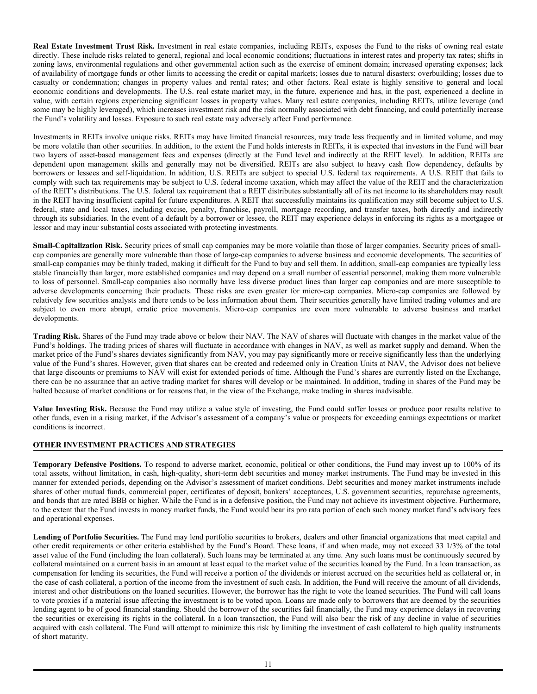**Real Estate Investment Trust Risk.** Investment in real estate companies, including REITs, exposes the Fund to the risks of owning real estate directly. These include risks related to general, regional and local economic conditions; fluctuations in interest rates and property tax rates; shifts in zoning laws, environmental regulations and other governmental action such as the exercise of eminent domain; increased operating expenses; lack of availability of mortgage funds or other limits to accessing the credit or capital markets; losses due to natural disasters; overbuilding; losses due to casualty or condemnation; changes in property values and rental rates; and other factors. Real estate is highly sensitive to general and local economic conditions and developments. The U.S. real estate market may, in the future, experience and has, in the past, experienced a decline in value, with certain regions experiencing significant losses in property values. Many real estate companies, including REITs, utilize leverage (and some may be highly leveraged), which increases investment risk and the risk normally associated with debt financing, and could potentially increase the Fund's volatility and losses. Exposure to such real estate may adversely affect Fund performance.

Investments in REITs involve unique risks. REITs may have limited financial resources, may trade less frequently and in limited volume, and may be more volatile than other securities. In addition, to the extent the Fund holds interests in REITs, it is expected that investors in the Fund will bear two layers of asset-based management fees and expenses (directly at the Fund level and indirectly at the REIT level). In addition, REITs are dependent upon management skills and generally may not be diversified. REITs are also subject to heavy cash flow dependency, defaults by borrowers or lessees and self-liquidation. In addition, U.S. REITs are subject to special U.S. federal tax requirements. A U.S. REIT that fails to comply with such tax requirements may be subject to U.S. federal income taxation, which may affect the value of the REIT and the characterization of the REIT's distributions. The U.S. federal tax requirement that a REIT distributes substantially all of its net income to its shareholders may result in the REIT having insufficient capital for future expenditures. A REIT that successfully maintains its qualification may still become subject to U.S. federal, state and local taxes, including excise, penalty, franchise, payroll, mortgage recording, and transfer taxes, both directly and indirectly through its subsidiaries. In the event of a default by a borrower or lessee, the REIT may experience delays in enforcing its rights as a mortgagee or lessor and may incur substantial costs associated with protecting investments.

**Small-Capitalization Risk.** Security prices of small cap companies may be more volatile than those of larger companies. Security prices of smallcap companies are generally more vulnerable than those of large-cap companies to adverse business and economic developments. The securities of small-cap companies may be thinly traded, making it difficult for the Fund to buy and sell them. In addition, small-cap companies are typically less stable financially than larger, more established companies and may depend on a small number of essential personnel, making them more vulnerable to loss of personnel. Small-cap companies also normally have less diverse product lines than larger cap companies and are more susceptible to adverse developments concerning their products. These risks are even greater for micro-cap companies. Micro-cap companies are followed by relatively few securities analysts and there tends to be less information about them. Their securities generally have limited trading volumes and are subject to even more abrupt, erratic price movements. Micro-cap companies are even more vulnerable to adverse business and market developments.

**Trading Risk.** Shares of the Fund may trade above or below their NAV. The NAV of shares will fluctuate with changes in the market value of the Fund's holdings. The trading prices of shares will fluctuate in accordance with changes in NAV, as well as market supply and demand. When the market price of the Fund's shares deviates significantly from NAV, you may pay significantly more or receive significantly less than the underlying value of the Fund's shares. However, given that shares can be created and redeemed only in Creation Units at NAV, the Advisor does not believe that large discounts or premiums to NAV will exist for extended periods of time. Although the Fund's shares are currently listed on the Exchange, there can be no assurance that an active trading market for shares will develop or be maintained. In addition, trading in shares of the Fund may be halted because of market conditions or for reasons that, in the view of the Exchange, make trading in shares inadvisable.

**Value Investing Risk.** Because the Fund may utilize a value style of investing, the Fund could suffer losses or produce poor results relative to other funds, even in a rising market, if the Advisor's assessment of a company's value or prospects for exceeding earnings expectations or market conditions is incorrect.

# **OTHER INVESTMENT PRACTICES AND STRATEGIES**

**Temporary Defensive Positions.** To respond to adverse market, economic, political or other conditions, the Fund may invest up to 100% of its total assets, without limitation, in cash, high-quality, short-term debt securities and money market instruments. The Fund may be invested in this manner for extended periods, depending on the Advisor's assessment of market conditions. Debt securities and money market instruments include shares of other mutual funds, commercial paper, certificates of deposit, bankers' acceptances, U.S. government securities, repurchase agreements, and bonds that are rated BBB or higher. While the Fund is in a defensive position, the Fund may not achieve its investment objective. Furthermore, to the extent that the Fund invests in money market funds, the Fund would bear its pro rata portion of each such money market fund's advisory fees and operational expenses.

Lending of Portfolio Securities. The Fund may lend portfolio securities to brokers, dealers and other financial organizations that meet capital and other credit requirements or other criteria established by the Fund's Board. These loans, if and when made, may not exceed 33 1/3% of the total asset value of the Fund (including the loan collateral). Such loans may be terminated at any time. Any such loans must be continuously secured by collateral maintained on a current basis in an amount at least equal to the market value of the securities loaned by the Fund. In a loan transaction, as compensation for lending its securities, the Fund will receive a portion of the dividends or interest accrued on the securities held as collateral or, in the case of cash collateral, a portion of the income from the investment of such cash. In addition, the Fund will receive the amount of all dividends, interest and other distributions on the loaned securities. However, the borrower has the right to vote the loaned securities. The Fund will call loans to vote proxies if a material issue affecting the investment is to be voted upon. Loans are made only to borrowers that are deemed by the securities lending agent to be of good financial standing. Should the borrower of the securities fail financially, the Fund may experience delays in recovering the securities or exercising its rights in the collateral. In a loan transaction, the Fund will also bear the risk of any decline in value of securities acquired with cash collateral. The Fund will attempt to minimize this risk by limiting the investment of cash collateral to high quality instruments of short maturity.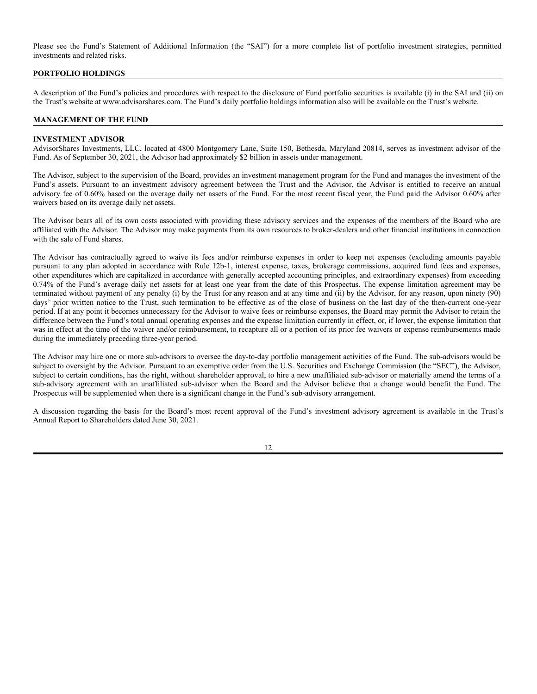Please see the Fund's Statement of Additional Information (the "SAI") for a more complete list of portfolio investment strategies, permitted investments and related risks.

### **PORTFOLIO HOLDINGS**

A description of the Fund's policies and procedures with respect to the disclosure of Fund portfolio securities is available (i) in the SAI and (ii) on the Trust's website at www.advisorshares.com. The Fund's daily portfolio holdings information also will be available on the Trust's website.

### **MANAGEMENT OF THE FUND**

#### **INVESTMENT ADVISOR**

AdvisorShares Investments, LLC, located at 4800 Montgomery Lane, Suite 150, Bethesda, Maryland 20814, serves as investment advisor of the Fund. As of September 30, 2021, the Advisor had approximately \$2 billion in assets under management.

The Advisor, subject to the supervision of the Board, provides an investment management program for the Fund and manages the investment of the Fund's assets. Pursuant to an investment advisory agreement between the Trust and the Advisor, the Advisor is entitled to receive an annual advisory fee of 0.60% based on the average daily net assets of the Fund. For the most recent fiscal year, the Fund paid the Advisor 0.60% after waivers based on its average daily net assets.

The Advisor bears all of its own costs associated with providing these advisory services and the expenses of the members of the Board who are affiliated with the Advisor. The Advisor may make payments from its own resources to broker-dealers and other financial institutions in connection with the sale of Fund shares.

The Advisor has contractually agreed to waive its fees and/or reimburse expenses in order to keep net expenses (excluding amounts payable pursuant to any plan adopted in accordance with Rule 12b-1, interest expense, taxes, brokerage commissions, acquired fund fees and expenses, other expenditures which are capitalized in accordance with generally accepted accounting principles, and extraordinary expenses) from exceeding 0.74% of the Fund's average daily net assets for at least one year from the date of this Prospectus. The expense limitation agreement may be terminated without payment of any penalty (i) by the Trust for any reason and at any time and (ii) by the Advisor, for any reason, upon ninety (90) days' prior written notice to the Trust, such termination to be effective as of the close of business on the last day of the then-current one-year period. If at any point it becomes unnecessary for the Advisor to waive fees or reimburse expenses, the Board may permit the Advisor to retain the difference between the Fund's total annual operating expenses and the expense limitation currently in effect, or, if lower, the expense limitation that was in effect at the time of the waiver and/or reimbursement, to recapture all or a portion of its prior fee waivers or expense reimbursements made during the immediately preceding three-year period.

The Advisor may hire one or more sub-advisors to oversee the day-to-day portfolio management activities of the Fund. The sub-advisors would be subject to oversight by the Advisor. Pursuant to an exemptive order from the U.S. Securities and Exchange Commission (the "SEC"), the Advisor, subject to certain conditions, has the right, without shareholder approval, to hire a new unaffiliated sub-advisor or materially amend the terms of a sub-advisory agreement with an unaffiliated sub-advisor when the Board and the Advisor believe that a change would benefit the Fund. The Prospectus will be supplemented when there is a significant change in the Fund's sub-advisory arrangement.

A discussion regarding the basis for the Board's most recent approval of the Fund's investment advisory agreement is available in the Trust's Annual Report to Shareholders dated June 30, 2021.

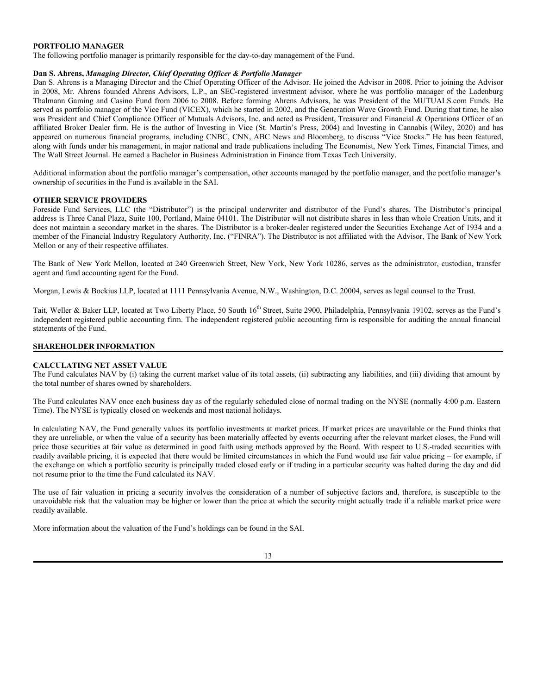# **PORTFOLIO MANAGER**

The following portfolio manager is primarily responsible for the day-to-day management of the Fund.

### **Dan S. Ahrens,** *Managing Director, Chief Operating Officer & Portfolio Manager*

Dan S. Ahrens is a Managing Director and the Chief Operating Officer of the Advisor. He joined the Advisor in 2008. Prior to joining the Advisor in 2008, Mr. Ahrens founded Ahrens Advisors, L.P., an SEC-registered investment advisor, where he was portfolio manager of the Ladenburg Thalmann Gaming and Casino Fund from 2006 to 2008. Before forming Ahrens Advisors, he was President of the MUTUALS.com Funds. He served as portfolio manager of the Vice Fund (VICEX), which he started in 2002, and the Generation Wave Growth Fund. During that time, he also was President and Chief Compliance Officer of Mutuals Advisors, Inc. and acted as President, Treasurer and Financial & Operations Officer of an affiliated Broker Dealer firm. He is the author of Investing in Vice (St. Martin's Press, 2004) and Investing in Cannabis (Wiley, 2020) and has appeared on numerous financial programs, including CNBC, CNN, ABC News and Bloomberg, to discuss "Vice Stocks." He has been featured, along with funds under his management, in major national and trade publications including The Economist, New York Times, Financial Times, and The Wall Street Journal. He earned a Bachelor in Business Administration in Finance from Texas Tech University.

Additional information about the portfolio manager's compensation, other accounts managed by the portfolio manager, and the portfolio manager's ownership of securities in the Fund is available in the SAI.

### **OTHER SERVICE PROVIDERS**

Foreside Fund Services, LLC (the "Distributor") is the principal underwriter and distributor of the Fund's shares. The Distributor's principal address is Three Canal Plaza, Suite 100, Portland, Maine 04101. The Distributor will not distribute shares in less than whole Creation Units, and it does not maintain a secondary market in the shares. The Distributor is a broker-dealer registered under the Securities Exchange Act of 1934 and a member of the Financial Industry Regulatory Authority, Inc. ("FINRA"). The Distributor is not affiliated with the Advisor, The Bank of New York Mellon or any of their respective affiliates.

The Bank of New York Mellon, located at 240 Greenwich Street, New York, New York 10286, serves as the administrator, custodian, transfer agent and fund accounting agent for the Fund.

Morgan, Lewis & Bockius LLP, located at 1111 Pennsylvania Avenue, N.W., Washington, D.C. 20004, serves as legal counsel to the Trust.

Tait, Weller & Baker LLP, located at Two Liberty Place, 50 South 16<sup>th</sup> Street, Suite 2900, Philadelphia, Pennsylvania 19102, serves as the Fund's independent registered public accounting firm. The independent registered public accounting firm is responsible for auditing the annual financial statements of the Fund.

# **SHAREHOLDER INFORMATION**

### **CALCULATING NET ASSET VALUE**

The Fund calculates NAV by (i) taking the current market value of its total assets, (ii) subtracting any liabilities, and (iii) dividing that amount by the total number of shares owned by shareholders.

The Fund calculates NAV once each business day as of the regularly scheduled close of normal trading on the NYSE (normally 4:00 p.m. Eastern Time). The NYSE is typically closed on weekends and most national holidays.

In calculating NAV, the Fund generally values its portfolio investments at market prices. If market prices are unavailable or the Fund thinks that they are unreliable, or when the value of a security has been materially affected by events occurring after the relevant market closes, the Fund will price those securities at fair value as determined in good faith using methods approved by the Board. With respect to U.S.-traded securities with readily available pricing, it is expected that there would be limited circumstances in which the Fund would use fair value pricing – for example, if the exchange on which a portfolio security is principally traded closed early or if trading in a particular security was halted during the day and did not resume prior to the time the Fund calculated its NAV.

The use of fair valuation in pricing a security involves the consideration of a number of subjective factors and, therefore, is susceptible to the unavoidable risk that the valuation may be higher or lower than the price at which the security might actually trade if a reliable market price were readily available.

More information about the valuation of the Fund's holdings can be found in the SAI.

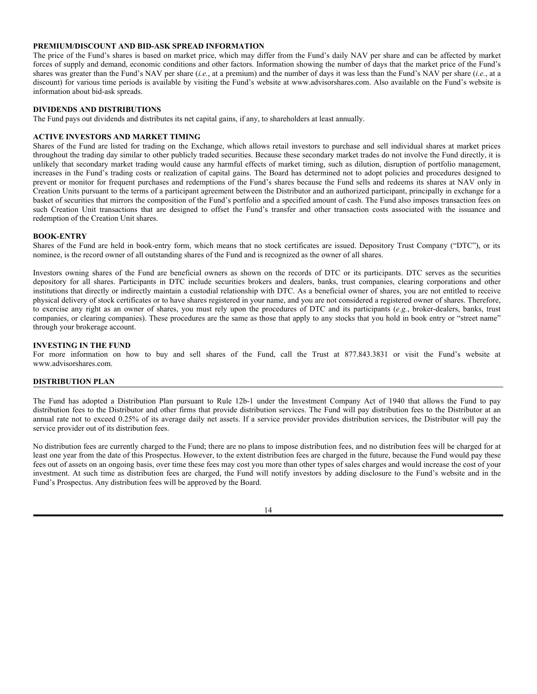# **PREMIUM/DISCOUNT AND BID-ASK SPREAD INFORMATION**

The price of the Fund's shares is based on market price, which may differ from the Fund's daily NAV per share and can be affected by market forces of supply and demand, economic conditions and other factors. Information showing the number of days that the market price of the Fund's shares was greater than the Fund's NAV per share (*i.e.*, at a premium) and the number of days it was less than the Fund's NAV per share (*i.e.*, at a discount) for various time periods is available by visiting the Fund's website at www.advisorshares.com. Also available on the Fund's website is information about bid-ask spreads.

### **DIVIDENDS AND DISTRIBUTIONS**

The Fund pays out dividends and distributes its net capital gains, if any, to shareholders at least annually.

### **ACTIVE INVESTORS AND MARKET TIMING**

Shares of the Fund are listed for trading on the Exchange, which allows retail investors to purchase and sell individual shares at market prices throughout the trading day similar to other publicly traded securities. Because these secondary market trades do not involve the Fund directly, it is unlikely that secondary market trading would cause any harmful effects of market timing, such as dilution, disruption of portfolio management, increases in the Fund's trading costs or realization of capital gains. The Board has determined not to adopt policies and procedures designed to prevent or monitor for frequent purchases and redemptions of the Fund's shares because the Fund sells and redeems its shares at NAV only in Creation Units pursuant to the terms of a participant agreement between the Distributor and an authorized participant, principally in exchange for a basket of securities that mirrors the composition of the Fund's portfolio and a specified amount of cash. The Fund also imposes transaction fees on such Creation Unit transactions that are designed to offset the Fund's transfer and other transaction costs associated with the issuance and redemption of the Creation Unit shares.

### **BOOK-ENTRY**

Shares of the Fund are held in book-entry form, which means that no stock certificates are issued. Depository Trust Company ("DTC"), or its nominee, is the record owner of all outstanding shares of the Fund and is recognized as the owner of all shares.

Investors owning shares of the Fund are beneficial owners as shown on the records of DTC or its participants. DTC serves as the securities depository for all shares. Participants in DTC include securities brokers and dealers, banks, trust companies, clearing corporations and other institutions that directly or indirectly maintain a custodial relationship with DTC. As a beneficial owner of shares, you are not entitled to receive physical delivery of stock certificates or to have shares registered in your name, and you are not considered a registered owner of shares. Therefore, to exercise any right as an owner of shares, you must rely upon the procedures of DTC and its participants (*e.g.*, broker-dealers, banks, trust companies, or clearing companies). These procedures are the same as those that apply to any stocks that you hold in book entry or "street name" through your brokerage account.

### **INVESTING IN THE FUND**

For more information on how to buy and sell shares of the Fund, call the Trust at 877.843.3831 or visit the Fund's website at www.advisorshares.com.

### **DISTRIBUTION PLAN**

The Fund has adopted a Distribution Plan pursuant to Rule 12b-1 under the Investment Company Act of 1940 that allows the Fund to pay distribution fees to the Distributor and other firms that provide distribution services. The Fund will pay distribution fees to the Distributor at an annual rate not to exceed 0.25% of its average daily net assets. If a service provider provides distribution services, the Distributor will pay the service provider out of its distribution fees.

No distribution fees are currently charged to the Fund; there are no plans to impose distribution fees, and no distribution fees will be charged for at least one year from the date of this Prospectus. However, to the extent distribution fees are charged in the future, because the Fund would pay these fees out of assets on an ongoing basis, over time these fees may cost you more than other types of sales charges and would increase the cost of your investment. At such time as distribution fees are charged, the Fund will notify investors by adding disclosure to the Fund's website and in the Fund's Prospectus. Any distribution fees will be approved by the Board.

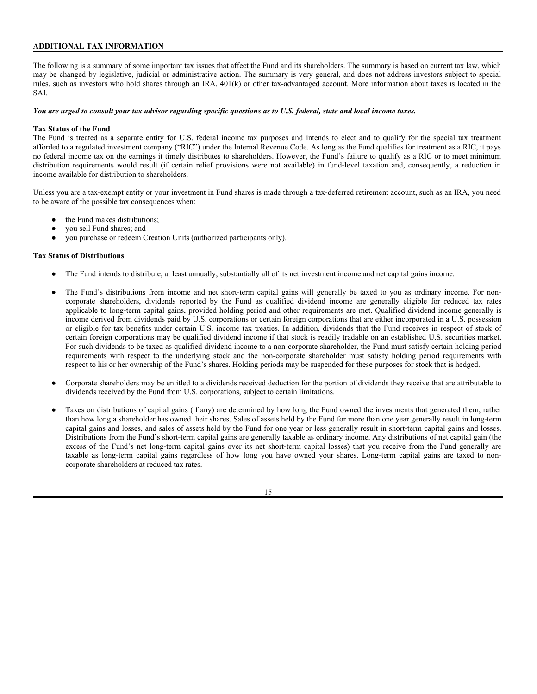# **ADDITIONAL TAX INFORMATION**

The following is a summary of some important tax issues that affect the Fund and its shareholders. The summary is based on current tax law, which may be changed by legislative, judicial or administrative action. The summary is very general, and does not address investors subject to special rules, such as investors who hold shares through an IRA, 401(k) or other tax-advantaged account. More information about taxes is located in the SAI.

### *You are urged to consult your tax advisor regarding specific questions as to U.S. federal, state and local income taxes.*

### **Tax Status of the Fund**

The Fund is treated as a separate entity for U.S. federal income tax purposes and intends to elect and to qualify for the special tax treatment afforded to a regulated investment company ("RIC") under the Internal Revenue Code. As long as the Fund qualifies for treatment as a RIC, it pays no federal income tax on the earnings it timely distributes to shareholders. However, the Fund's failure to qualify as a RIC or to meet minimum distribution requirements would result (if certain relief provisions were not available) in fund-level taxation and, consequently, a reduction in income available for distribution to shareholders.

Unless you are a tax-exempt entity or your investment in Fund shares is made through a tax-deferred retirement account, such as an IRA, you need to be aware of the possible tax consequences when:

- the Fund makes distributions;
- you sell Fund shares; and
- you purchase or redeem Creation Units (authorized participants only).

### **Tax Status of Distributions**

- The Fund intends to distribute, at least annually, substantially all of its net investment income and net capital gains income.
- The Fund's distributions from income and net short-term capital gains will generally be taxed to you as ordinary income. For noncorporate shareholders, dividends reported by the Fund as qualified dividend income are generally eligible for reduced tax rates applicable to long-term capital gains, provided holding period and other requirements are met. Qualified dividend income generally is income derived from dividends paid by U.S. corporations or certain foreign corporations that are either incorporated in a U.S. possession or eligible for tax benefits under certain U.S. income tax treaties. In addition, dividends that the Fund receives in respect of stock of certain foreign corporations may be qualified dividend income if that stock is readily tradable on an established U.S. securities market. For such dividends to be taxed as qualified dividend income to a non-corporate shareholder, the Fund must satisfy certain holding period requirements with respect to the underlying stock and the non-corporate shareholder must satisfy holding period requirements with respect to his or her ownership of the Fund's shares. Holding periods may be suspended for these purposes for stock that is hedged.
- Corporate shareholders may be entitled to a dividends received deduction for the portion of dividends they receive that are attributable to dividends received by the Fund from U.S. corporations, subject to certain limitations.
- Taxes on distributions of capital gains (if any) are determined by how long the Fund owned the investments that generated them, rather than how long a shareholder has owned their shares. Sales of assets held by the Fund for more than one year generally result in long-term capital gains and losses, and sales of assets held by the Fund for one year or less generally result in short-term capital gains and losses. Distributions from the Fund's short-term capital gains are generally taxable as ordinary income. Any distributions of net capital gain (the excess of the Fund's net long-term capital gains over its net short-term capital losses) that you receive from the Fund generally are taxable as long-term capital gains regardless of how long you have owned your shares. Long-term capital gains are taxed to noncorporate shareholders at reduced tax rates.

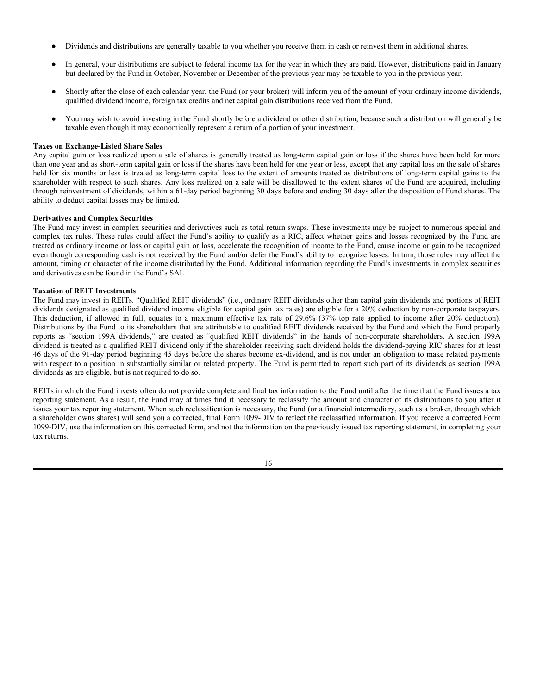- Dividends and distributions are generally taxable to you whether you receive them in cash or reinvest them in additional shares.
- In general, your distributions are subject to federal income tax for the year in which they are paid. However, distributions paid in January but declared by the Fund in October, November or December of the previous year may be taxable to you in the previous year.
- Shortly after the close of each calendar year, the Fund (or your broker) will inform you of the amount of your ordinary income dividends, qualified dividend income, foreign tax credits and net capital gain distributions received from the Fund.
- You may wish to avoid investing in the Fund shortly before a dividend or other distribution, because such a distribution will generally be taxable even though it may economically represent a return of a portion of your investment.

### **Taxes on Exchange-Listed Share Sales**

Any capital gain or loss realized upon a sale of shares is generally treated as long-term capital gain or loss if the shares have been held for more than one year and as short-term capital gain or loss if the shares have been held for one year or less, except that any capital loss on the sale of shares held for six months or less is treated as long-term capital loss to the extent of amounts treated as distributions of long-term capital gains to the shareholder with respect to such shares. Any loss realized on a sale will be disallowed to the extent shares of the Fund are acquired, including through reinvestment of dividends, within a 61-day period beginning 30 days before and ending 30 days after the disposition of Fund shares. The ability to deduct capital losses may be limited.

# **Derivatives and Complex Securities**

The Fund may invest in complex securities and derivatives such as total return swaps. These investments may be subject to numerous special and complex tax rules. These rules could affect the Fund's ability to qualify as a RIC, affect whether gains and losses recognized by the Fund are treated as ordinary income or loss or capital gain or loss, accelerate the recognition of income to the Fund, cause income or gain to be recognized even though corresponding cash is not received by the Fund and/or defer the Fund's ability to recognize losses. In turn, those rules may affect the amount, timing or character of the income distributed by the Fund. Additional information regarding the Fund's investments in complex securities and derivatives can be found in the Fund's SAI.

# **Taxation of REIT Investments**

The Fund may invest in REITs. "Qualified REIT dividends" (i.e., ordinary REIT dividends other than capital gain dividends and portions of REIT dividends designated as qualified dividend income eligible for capital gain tax rates) are eligible for a 20% deduction by non-corporate taxpayers. This deduction, if allowed in full, equates to a maximum effective tax rate of 29.6% (37% top rate applied to income after 20% deduction). Distributions by the Fund to its shareholders that are attributable to qualified REIT dividends received by the Fund and which the Fund properly reports as "section 199A dividends," are treated as "qualified REIT dividends" in the hands of non-corporate shareholders. A section 199A dividend is treated as a qualified REIT dividend only if the shareholder receiving such dividend holds the dividend-paying RIC shares for at least 46 days of the 91-day period beginning 45 days before the shares become ex-dividend, and is not under an obligation to make related payments with respect to a position in substantially similar or related property. The Fund is permitted to report such part of its dividends as section 199A dividends as are eligible, but is not required to do so.

REITs in which the Fund invests often do not provide complete and final tax information to the Fund until after the time that the Fund issues a tax reporting statement. As a result, the Fund may at times find it necessary to reclassify the amount and character of its distributions to you after it issues your tax reporting statement. When such reclassification is necessary, the Fund (or a financial intermediary, such as a broker, through which a shareholder owns shares) will send you a corrected, final Form 1099-DIV to reflect the reclassified information. If you receive a corrected Form 1099-DIV, use the information on this corrected form, and not the information on the previously issued tax reporting statement, in completing your tax returns.

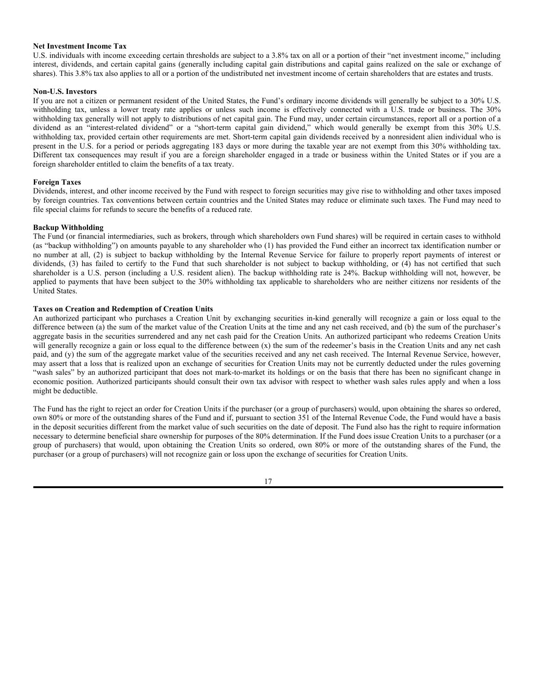### **Net Investment Income Tax**

U.S. individuals with income exceeding certain thresholds are subject to a 3.8% tax on all or a portion of their "net investment income," including interest, dividends, and certain capital gains (generally including capital gain distributions and capital gains realized on the sale or exchange of shares). This 3.8% tax also applies to all or a portion of the undistributed net investment income of certain shareholders that are estates and trusts.

# **Non-U.S. Investors**

If you are not a citizen or permanent resident of the United States, the Fund's ordinary income dividends will generally be subject to a 30% U.S. withholding tax, unless a lower treaty rate applies or unless such income is effectively connected with a U.S. trade or business. The 30% withholding tax generally will not apply to distributions of net capital gain. The Fund may, under certain circumstances, report all or a portion of a dividend as an "interest-related dividend" or a "short-term capital gain dividend," which would generally be exempt from this 30% U.S. withholding tax, provided certain other requirements are met. Short-term capital gain dividends received by a nonresident alien individual who is present in the U.S. for a period or periods aggregating 183 days or more during the taxable year are not exempt from this 30% withholding tax. Different tax consequences may result if you are a foreign shareholder engaged in a trade or business within the United States or if you are a foreign shareholder entitled to claim the benefits of a tax treaty.

# **Foreign Taxes**

Dividends, interest, and other income received by the Fund with respect to foreign securities may give rise to withholding and other taxes imposed by foreign countries. Tax conventions between certain countries and the United States may reduce or eliminate such taxes. The Fund may need to file special claims for refunds to secure the benefits of a reduced rate.

# **Backup Withholding**

The Fund (or financial intermediaries, such as brokers, through which shareholders own Fund shares) will be required in certain cases to withhold (as "backup withholding") on amounts payable to any shareholder who (1) has provided the Fund either an incorrect tax identification number or no number at all, (2) is subject to backup withholding by the Internal Revenue Service for failure to properly report payments of interest or dividends, (3) has failed to certify to the Fund that such shareholder is not subject to backup withholding, or (4) has not certified that such shareholder is a U.S. person (including a U.S. resident alien). The backup withholding rate is 24%. Backup withholding will not, however, be applied to payments that have been subject to the 30% withholding tax applicable to shareholders who are neither citizens nor residents of the United States.

# **Taxes on Creation and Redemption of Creation Units**

An authorized participant who purchases a Creation Unit by exchanging securities in-kind generally will recognize a gain or loss equal to the difference between (a) the sum of the market value of the Creation Units at the time and any net cash received, and (b) the sum of the purchaser's aggregate basis in the securities surrendered and any net cash paid for the Creation Units. An authorized participant who redeems Creation Units will generally recognize a gain or loss equal to the difference between (x) the sum of the redeemer's basis in the Creation Units and any net cash paid, and (y) the sum of the aggregate market value of the securities received and any net cash received. The Internal Revenue Service, however, may assert that a loss that is realized upon an exchange of securities for Creation Units may not be currently deducted under the rules governing "wash sales" by an authorized participant that does not mark-to-market its holdings or on the basis that there has been no significant change in economic position. Authorized participants should consult their own tax advisor with respect to whether wash sales rules apply and when a loss might be deductible.

The Fund has the right to reject an order for Creation Units if the purchaser (or a group of purchasers) would, upon obtaining the shares so ordered, own 80% or more of the outstanding shares of the Fund and if, pursuant to section 351 of the Internal Revenue Code, the Fund would have a basis in the deposit securities different from the market value of such securities on the date of deposit. The Fund also has the right to require information necessary to determine beneficial share ownership for purposes of the 80% determination. If the Fund does issue Creation Units to a purchaser (or a group of purchasers) that would, upon obtaining the Creation Units so ordered, own 80% or more of the outstanding shares of the Fund, the purchaser (or a group of purchasers) will not recognize gain or loss upon the exchange of securities for Creation Units.

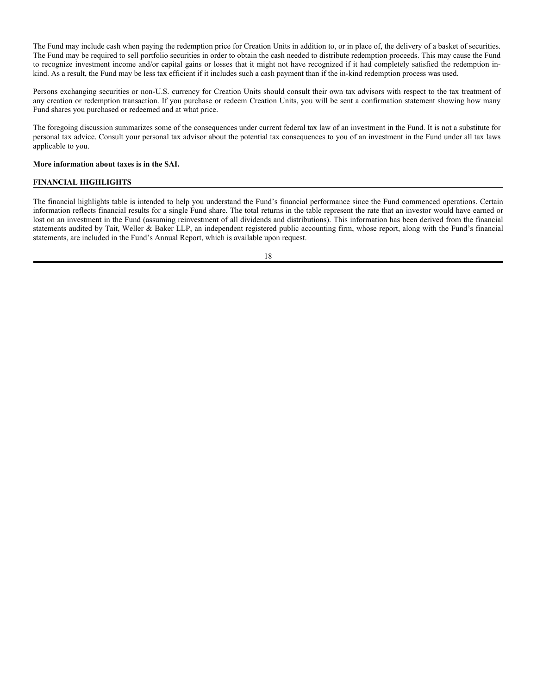The Fund may include cash when paying the redemption price for Creation Units in addition to, or in place of, the delivery of a basket of securities. The Fund may be required to sell portfolio securities in order to obtain the cash needed to distribute redemption proceeds. This may cause the Fund to recognize investment income and/or capital gains or losses that it might not have recognized if it had completely satisfied the redemption inkind. As a result, the Fund may be less tax efficient if it includes such a cash payment than if the in-kind redemption process was used.

Persons exchanging securities or non-U.S. currency for Creation Units should consult their own tax advisors with respect to the tax treatment of any creation or redemption transaction. If you purchase or redeem Creation Units, you will be sent a confirmation statement showing how many Fund shares you purchased or redeemed and at what price.

The foregoing discussion summarizes some of the consequences under current federal tax law of an investment in the Fund. It is not a substitute for personal tax advice. Consult your personal tax advisor about the potential tax consequences to you of an investment in the Fund under all tax laws applicable to you.

### **More information about taxes is in the SAI.**

# **FINANCIAL HIGHLIGHTS**

The financial highlights table is intended to help you understand the Fund's financial performance since the Fund commenced operations. Certain information reflects financial results for a single Fund share. The total returns in the table represent the rate that an investor would have earned or lost on an investment in the Fund (assuming reinvestment of all dividends and distributions). This information has been derived from the financial statements audited by Tait, Weller & Baker LLP, an independent registered public accounting firm, whose report, along with the Fund's financial statements, are included in the Fund's Annual Report, which is available upon request.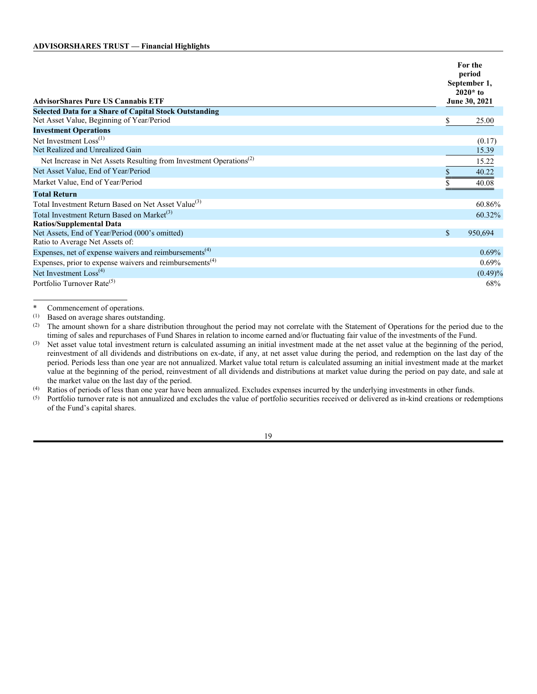| <b>AdvisorShares Pure US Cannabis ETF</b>                                      |              | For the<br>period<br>September 1,<br>$2020*$ to<br>June 30, 2021 |
|--------------------------------------------------------------------------------|--------------|------------------------------------------------------------------|
| <b>Selected Data for a Share of Capital Stock Outstanding</b>                  |              |                                                                  |
| Net Asset Value, Beginning of Year/Period                                      | \$           | 25.00                                                            |
| <b>Investment Operations</b>                                                   |              |                                                                  |
| Net Investment $Loss(1)$                                                       |              | (0.17)                                                           |
| Net Realized and Unrealized Gain                                               |              | 15.39                                                            |
| Net Increase in Net Assets Resulting from Investment Operations <sup>(2)</sup> |              | 15.22                                                            |
| Net Asset Value, End of Year/Period                                            |              | 40.22                                                            |
| Market Value, End of Year/Period                                               |              | 40.08                                                            |
| <b>Total Return</b>                                                            |              |                                                                  |
| Total Investment Return Based on Net Asset Value <sup>(3)</sup>                |              | 60.86%                                                           |
| Total Investment Return Based on Market <sup>(3)</sup>                         |              | 60.32%                                                           |
| <b>Ratios/Supplemental Data</b>                                                |              |                                                                  |
| Net Assets, End of Year/Period (000's omitted)                                 | $\mathbb{S}$ | 950,694                                                          |
| Ratio to Average Net Assets of:                                                |              |                                                                  |
| Expenses, net of expense waivers and reimbursements <sup>(4)</sup>             |              | $0.69\%$                                                         |
| Expenses, prior to expense waivers and reimbursements <sup>(4)</sup>           |              | $0.69\%$                                                         |
| Net Investment Loss <sup>(4)</sup>                                             |              | $(0.49)\%$                                                       |
| Portfolio Turnover Rate <sup>(5)</sup>                                         |              | 68%                                                              |

\* Commencement of operations.<br>(1) Based on average shares outsta

Based on average shares outstanding.

(2) The amount shown for a share distribution throughout the period may not correlate with the Statement of Operations for the period due to the timing of sales and repurchases of Fund Shares in relation to income earned and/or fluctuating fair value of the investments of the Fund.

(3) Net asset value total investment return is calculated assuming an initial investment made at the net asset value at the beginning of the period, reinvestment of all dividends and distributions on ex-date, if any, at net asset value during the period, and redemption on the last day of the period. Periods less than one year are not annualized. Market value total return is calculated assuming an initial investment made at the market value at the beginning of the period, reinvestment of all dividends and distributions at market value during the period on pay date, and sale at the market value on the last day of the period.

(4) Ratios of periods of less than one year have been annualized. Excludes expenses incurred by the underlying investments in other funds.

(5) Portfolio turnover rate is not annualized and excludes the value of portfolio securities received or delivered as in-kind creations or redemptions of the Fund's capital shares.